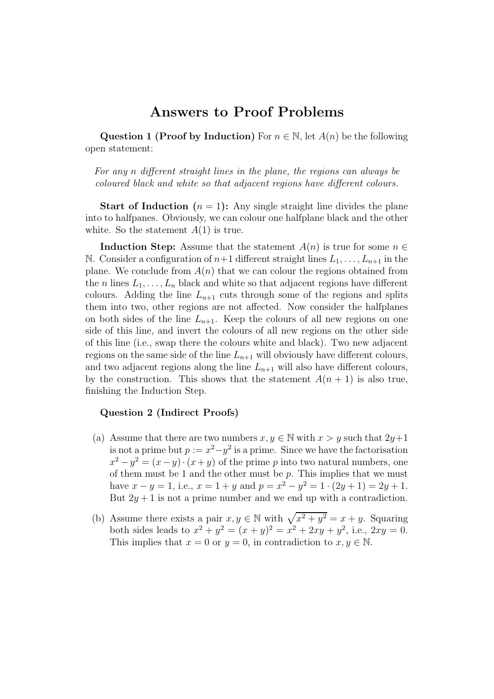# Answers to Proof Problems

Question 1 (Proof by Induction) For  $n \in \mathbb{N}$ , let  $A(n)$  be the following open statement:

For any n different straight lines in the plane, the regions can always be coloured black and white so that adjacent regions have different colours.

**Start of Induction**  $(n = 1)$ : Any single straight line divides the plane into to halfpanes. Obviously, we can colour one halfplane black and the other white. So the statement  $A(1)$  is true.

**Induction Step:** Assume that the statement  $A(n)$  is true for some  $n \in \mathbb{R}$ N. Consider a configuration of  $n+1$  different straight lines  $L_1, \ldots, L_{n+1}$  in the plane. We conclude from  $A(n)$  that we can colour the regions obtained from the *n* lines  $L_1, \ldots, L_n$  black and white so that adjacent regions have different colours. Adding the line  $L_{n+1}$  cuts through some of the regions and splits them into two, other regions are not affected. Now consider the halfplanes on both sides of the line  $L_{n+1}$ . Keep the colours of all new regions on one side of this line, and invert the colours of all new regions on the other side of this line (i.e., swap there the colours white and black). Two new adjacent regions on the same side of the line  $L_{n+1}$  will obviously have different colours, and two adjacent regions along the line  $L_{n+1}$  will also have different colours, by the construction. This shows that the statement  $A(n + 1)$  is also true, finishing the Induction Step.

# Question 2 (Indirect Proofs)

- (a) Assume that there are two numbers  $x, y \in \mathbb{N}$  with  $x > y$  such that  $2y+1$ is not a prime but  $p := x^2 - y^2$  is a prime. Since we have the factorisation  $x^2 - y^2 = (x - y) \cdot (x + y)$  of the prime p into two natural numbers, one of them must be 1 and the other must be  $p$ . This implies that we must have  $x - y = 1$ , i.e.,  $x = 1 + y$  and  $p = x^2 - y^2 = 1 \cdot (2y + 1) = 2y + 1$ . But  $2y + 1$  is not a prime number and we end up with a contradiction.
- (b) Assume there exists a pair  $x, y \in \mathbb{N}$  with  $\sqrt{x^2 + y^2} = x + y$ . Squaring both sides leads to  $x^2 + y^2 = (x + y)^2 = x^2 + 2xy + y^2$ , i.e.,  $2xy = 0$ . This implies that  $x = 0$  or  $y = 0$ , in contradiction to  $x, y \in \mathbb{N}$ .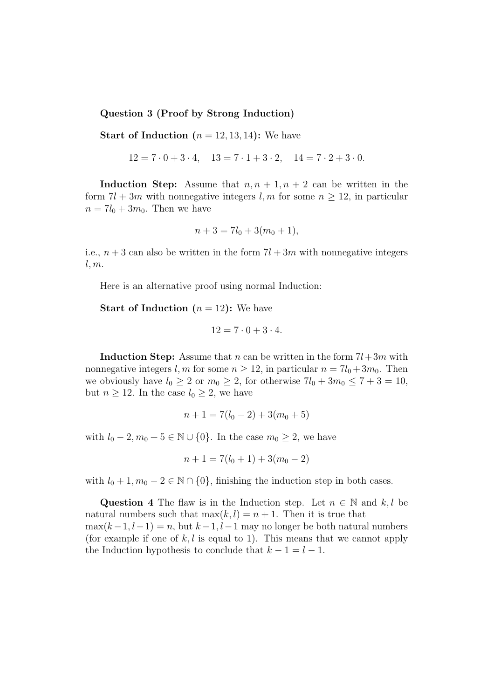#### Question 3 (Proof by Strong Induction)

**Start of Induction**  $(n = 12, 13, 14)$ : We have

$$
12 = 7 \cdot 0 + 3 \cdot 4, \quad 13 = 7 \cdot 1 + 3 \cdot 2, \quad 14 = 7 \cdot 2 + 3 \cdot 0.
$$

Induction Step: Assume that  $n, n + 1, n + 2$  can be written in the form  $7l + 3m$  with nonnegative integers l, m for some  $n \ge 12$ , in particular  $n = 7l_0 + 3m_0$ . Then we have

$$
n + 3 = 7l_0 + 3(m_0 + 1),
$$

i.e.,  $n+3$  can also be written in the form  $7l + 3m$  with nonnegative integers  $l, m.$ 

Here is an alternative proof using normal Induction:

**Start of Induction**  $(n = 12)$ : We have

$$
12 = 7 \cdot 0 + 3 \cdot 4.
$$

**Induction Step:** Assume that n can be written in the form  $7l+3m$  with nonnegative integers l, m for some  $n > 12$ , in particular  $n = 7l_0 + 3m_0$ . Then we obviously have  $l_0 \geq 2$  or  $m_0 \geq 2$ , for otherwise  $7l_0 + 3m_0 \leq 7 + 3 = 10$ , but  $n \geq 12$ . In the case  $l_0 \geq 2$ , we have

$$
n + 1 = 7(l_0 - 2) + 3(m_0 + 5)
$$

with  $l_0 - 2, m_0 + 5 \in \mathbb{N} \cup \{0\}$ . In the case  $m_0 \geq 2$ , we have

$$
n + 1 = 7(l_0 + 1) + 3(m_0 - 2)
$$

with  $l_0 + 1, m_0 - 2 \in \mathbb{N} \cap \{0\}$ , finishing the induction step in both cases.

Question 4 The flaw is in the Induction step. Let  $n \in \mathbb{N}$  and k, l be natural numbers such that  $\max(k, l) = n + 1$ . Then it is true that  $max(k-1, l-1) = n$ , but  $k-1, l-1$  may no longer be both natural numbers (for example if one of  $k, l$  is equal to 1). This means that we cannot apply the Induction hypothesis to conclude that  $k - 1 = l - 1$ .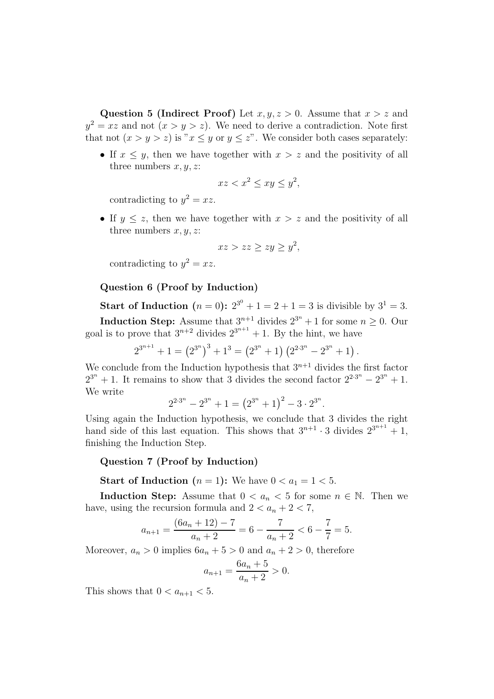Question 5 (Indirect Proof) Let  $x, y, z > 0$ . Assume that  $x > z$  and  $y^2 = xz$  and not  $(x > y > z)$ . We need to derive a contradiction. Note first that not  $(x > y > z)$  is " $x \leq y$  or  $y \leq z$ ". We consider both cases separately:

• If  $x \leq y$ , then we have together with  $x > z$  and the positivity of all three numbers  $x, y, z$ :

$$
xz < x^2 \le xy \le y^2,
$$

contradicting to  $y^2 = xz$ .

• If  $y \leq z$ , then we have together with  $x > z$  and the positivity of all three numbers  $x, y, z$ :

$$
xz > zz \geq zy \geq y^2,
$$

contradicting to  $y^2 = xz$ .

### Question 6 (Proof by Induction)

**Start of Induction**  $(n = 0)$ :  $2^{3^0} + 1 = 2 + 1 = 3$  is divisible by  $3^1 = 3$ .

**Induction Step:** Assume that  $3^{n+1}$  divides  $2^{3^n} + 1$  for some  $n \geq 0$ . Our goal is to prove that  $3^{n+2}$  divides  $2^{3^{n+1}} + 1$ . By the hint, we have

$$
2^{3^{n+1}} + 1 = (2^{3^n})^3 + 1^3 = (2^{3^n} + 1) (2^{2 \cdot 3^n} - 2^{3^n} + 1).
$$

We conclude from the Induction hypothesis that  $3^{n+1}$  divides the first factor  $2^{3^n} + 1$ . It remains to show that 3 divides the second factor  $2^{2\cdot 3^n} - 2^{3^n} + 1$ . We write

$$
2^{2\cdot 3^n} - 2^{3^n} + 1 = (2^{3^n} + 1)^2 - 3 \cdot 2^{3^n}.
$$

Using again the Induction hypothesis, we conclude that 3 divides the right hand side of this last equation. This shows that  $3^{n+1} \cdot 3$  divides  $2^{3^{n+1}} + 1$ , finishing the Induction Step.

#### Question 7 (Proof by Induction)

**Start of Induction**  $(n = 1)$ : We have  $0 < a_1 = 1 < 5$ .

Induction Step: Assume that  $0 < a_n < 5$  for some  $n \in \mathbb{N}$ . Then we have, using the recursion formula and  $2 < a_n + 2 < 7$ ,

$$
a_{n+1} = \frac{(6a_n + 12) - 7}{a_n + 2} = 6 - \frac{7}{a_n + 2} < 6 - \frac{7}{7} = 5.
$$

Moreover,  $a_n > 0$  implies  $6a_n + 5 > 0$  and  $a_n + 2 > 0$ , therefore

$$
a_{n+1} = \frac{6a_n + 5}{a_n + 2} > 0.
$$

This shows that  $0 < a_{n+1} < 5$ .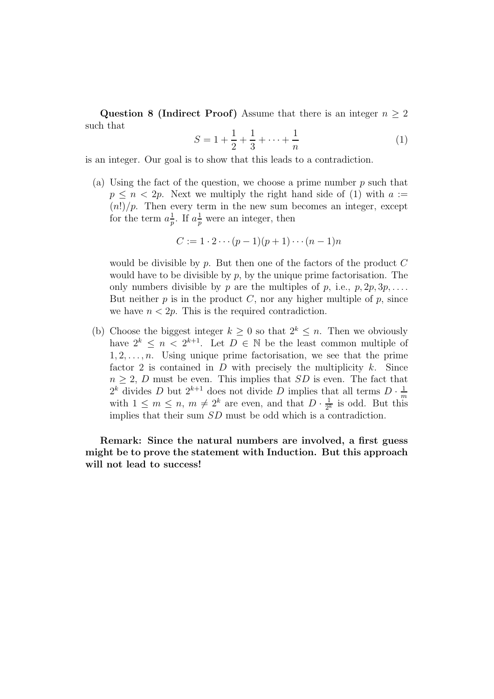Question 8 (Indirect Proof) Assume that there is an integer  $n \geq 2$ such that

$$
S = 1 + \frac{1}{2} + \frac{1}{3} + \dots + \frac{1}{n}
$$
 (1)

is an integer. Our goal is to show that this leads to a contradiction.

(a) Using the fact of the question, we choose a prime number  $p$  such that  $p \leq n < 2p$ . Next we multiply the right hand side of (1) with  $a :=$  $(n!)/p$ . Then every term in the new sum becomes an integer, except for the term  $a_n^1$  $\frac{1}{p}$ . If  $a_p^{\frac{1}{p}}$  were an integer, then

$$
C := 1 \cdot 2 \cdots (p-1)(p+1) \cdots (n-1)n
$$

would be divisible by  $p$ . But then one of the factors of the product  $C$ would have to be divisible by  $p$ , by the unique prime factorisation. The only numbers divisible by p are the multiples of p, i.e.,  $p, 2p, 3p, \ldots$ . But neither  $p$  is in the product  $C$ , nor any higher multiple of  $p$ , since we have  $n < 2p$ . This is the required contradiction.

(b) Choose the biggest integer  $k \geq 0$  so that  $2^k \leq n$ . Then we obviously have  $2^k \leq n < 2^{k+1}$ . Let  $D \in \mathbb{N}$  be the least common multiple of  $1, 2, \ldots, n$ . Using unique prime factorisation, we see that the prime factor 2 is contained in  $D$  with precisely the multiplicity  $k$ . Since  $n \geq 2$ , D must be even. This implies that SD is even. The fact that  $2^k$  divides D but  $2^{k+1}$  does not divide D implies that all terms  $D \cdot \frac{1}{m}$ with  $1 \leq m \leq n$ ,  $m \neq 2^k$  are even, and that  $D \cdot \frac{1}{2^k}$  is odd. But this  $\frac{1}{2^k}$  is odd. But this implies that their sum  $SD$  must be odd which is a contradiction.

Remark: Since the natural numbers are involved, a first guess might be to prove the statement with Induction. But this approach will not lead to success!